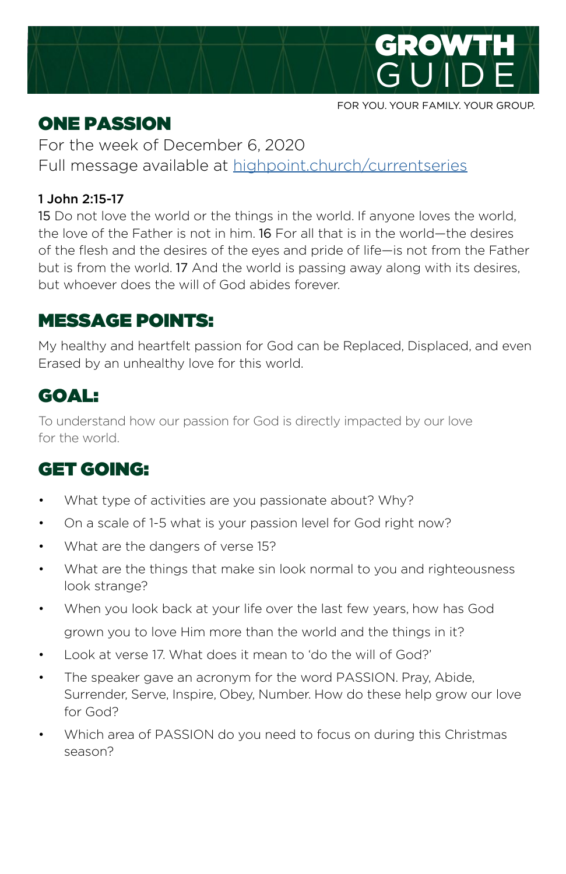

#### ONE PASSION

For the week of December 6, 2020 Full message available at [highpoint.church/currentseries](http://highpoint.church/currentseries)

#### 1 John 2:15-17

15 Do not love the world or the things in the world. If anyone loves the world, the love of the Father is not in him. 16 For all that is in the world—the desires of the flesh and the desires of the eyes and pride of life—is not from the Father but is from the world. 17 And the world is passing away along with its desires, but whoever does the will of God abides forever.

# MESSAGE POINTS:

My healthy and heartfelt passion for God can be Replaced, Displaced, and even Erased by an unhealthy love for this world.

# GOAL:

To understand how our passion for God is directly impacted by our love for the world.

# GET GOING:

- What type of activities are you passionate about? Why?
- On a scale of 1-5 what is your passion level for God right now?
- What are the dangers of verse 15?
- What are the things that make sin look normal to you and righteousness look strange?
- When you look back at your life over the last few years, how has God grown you to love Him more than the world and the things in it?
- Look at verse 17. What does it mean to 'do the will of God?'
- The speaker gave an acronym for the word PASSION. Pray, Abide, Surrender, Serve, Inspire, Obey, Number. How do these help grow our love for God?
- Which area of PASSION do you need to focus on during this Christmas season?